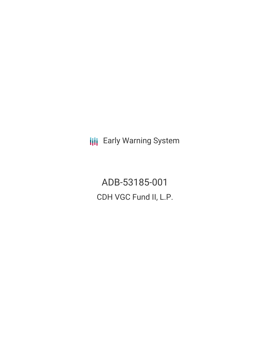**III** Early Warning System

ADB-53185-001 CDH VGC Fund II, L.P.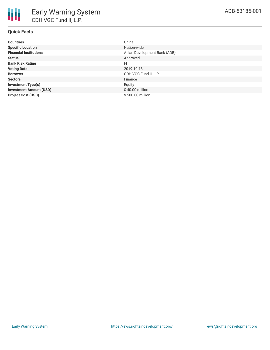| <b>Countries</b>               | China                        |
|--------------------------------|------------------------------|
| <b>Specific Location</b>       | Nation-wide                  |
| <b>Financial Institutions</b>  | Asian Development Bank (ADB) |
| <b>Status</b>                  | Approved                     |
| <b>Bank Risk Rating</b>        | FI                           |
| <b>Voting Date</b>             | 2019-10-18                   |
| <b>Borrower</b>                | CDH VGC Fund II, L.P.        |
| <b>Sectors</b>                 | Finance                      |
| <b>Investment Type(s)</b>      | Equity                       |
| <b>Investment Amount (USD)</b> | $$40.00$ million             |
| <b>Project Cost (USD)</b>      | \$500.00 million             |
|                                |                              |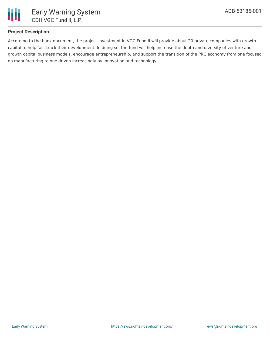

# **Project Description**

According to the bank document, the project investment in VGC Fund II will provide about 20 private companies with growth capital to help fast track their development. In doing so, the fund will help increase the depth and diversity of venture and growth capital business models, encourage entrepreneurship, and support the transition of the PRC economy from one focused on manufacturing to one driven increasingly by innovation and technology.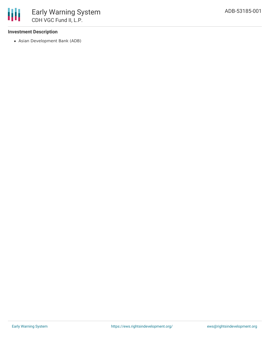## **Investment Description**

冊

Asian Development Bank (ADB)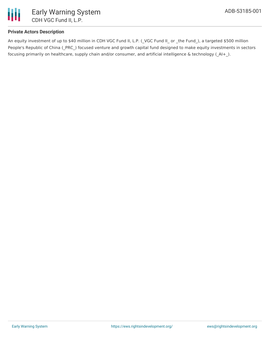

# **Private Actors Description**

An equity investment of up to \$40 million in CDH VGC Fund II, L.P. (\_VGC Fund II\_ or \_the Fund\_), a targeted \$500 million People's Republic of China (PRC) focused venture and growth capital fund designed to make equity investments in sectors focusing primarily on healthcare, supply chain and/or consumer, and artificial intelligence & technology (AI+).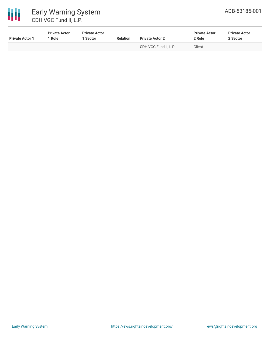

# 冊 Early Warning System CDH VGC Fund II, L.P.

| <b>Private Actor 1</b>   | <b>Private Actor</b><br>Role | <b>Private Actor</b><br>1 Sector | <b>Relation</b>          | <b>Private Actor 2</b> | <b>Private Actor</b><br>2 Role | <b>Private Actor</b><br>2 Sector |
|--------------------------|------------------------------|----------------------------------|--------------------------|------------------------|--------------------------------|----------------------------------|
| $\overline{\phantom{0}}$ |                              | $\sim$                           | $\overline{\phantom{0}}$ | CDH VGC Fund II. L.P.  | Client                         | $\sim$                           |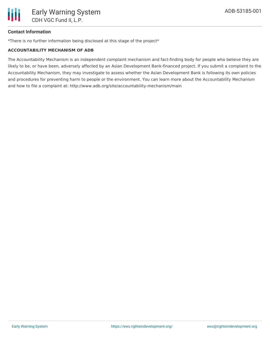## **Contact Information**

\*There is no further information being disclosed at this stage of the project\*

#### **ACCOUNTABILITY MECHANISM OF ADB**

The Accountability Mechanism is an independent complaint mechanism and fact-finding body for people who believe they are likely to be, or have been, adversely affected by an Asian Development Bank-financed project. If you submit a complaint to the Accountability Mechanism, they may investigate to assess whether the Asian Development Bank is following its own policies and procedures for preventing harm to people or the environment. You can learn more about the Accountability Mechanism and how to file a complaint at: http://www.adb.org/site/accountability-mechanism/main